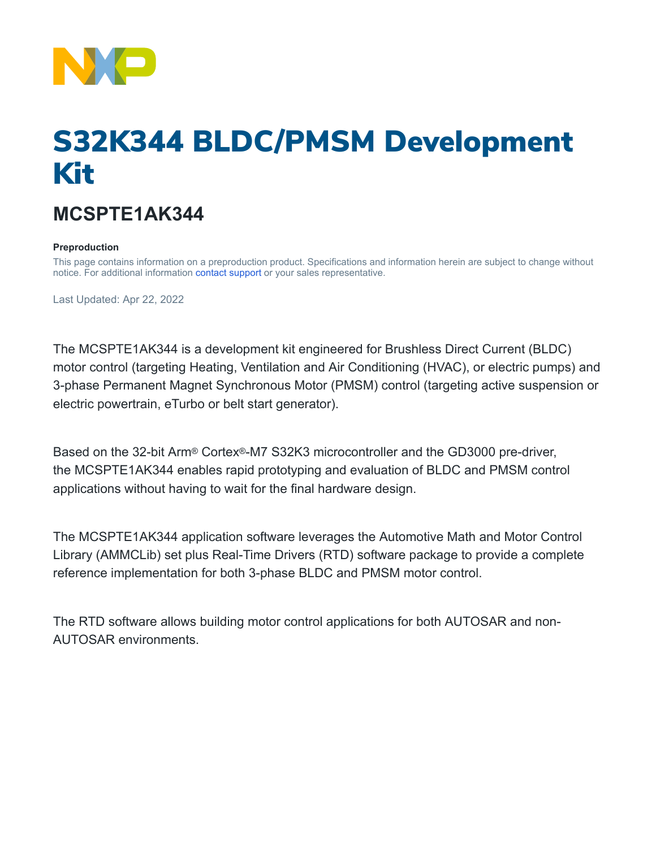

# S32K344 BLDC/PMSM Development Kit

# **MCSPTE1AK344**

### **Preproduction**

This page contains information on a preproduction product. Specifications and information herein are subject to change without notice. For additional information [contact support](https://www.nxp.com/support/support:SUPPORTHOME) or your sales representative.

Last Updated: Apr 22, 2022

The MCSPTE1AK344 is a development kit engineered for Brushless Direct Current (BLDC) motor control (targeting Heating, Ventilation and Air Conditioning (HVAC), or electric pumps) and 3-phase Permanent Magnet Synchronous Motor (PMSM) control (targeting active suspension or electric powertrain, eTurbo or belt start generator).

Based on the 32-bit Arm® Cortex®-M7 S32K3 microcontroller and the GD3000 pre-driver, the MCSPTE1AK344 enables rapid prototyping and evaluation of BLDC and PMSM control applications without having to wait for the final hardware design.

The MCSPTE1AK344 application software leverages the Automotive Math and Motor Control Library (AMMCLib) set plus Real-Time Drivers (RTD) software package to provide a complete reference implementation for both 3-phase BLDC and PMSM motor control.

The RTD software allows building motor control applications for both AUTOSAR and non-AUTOSAR environments.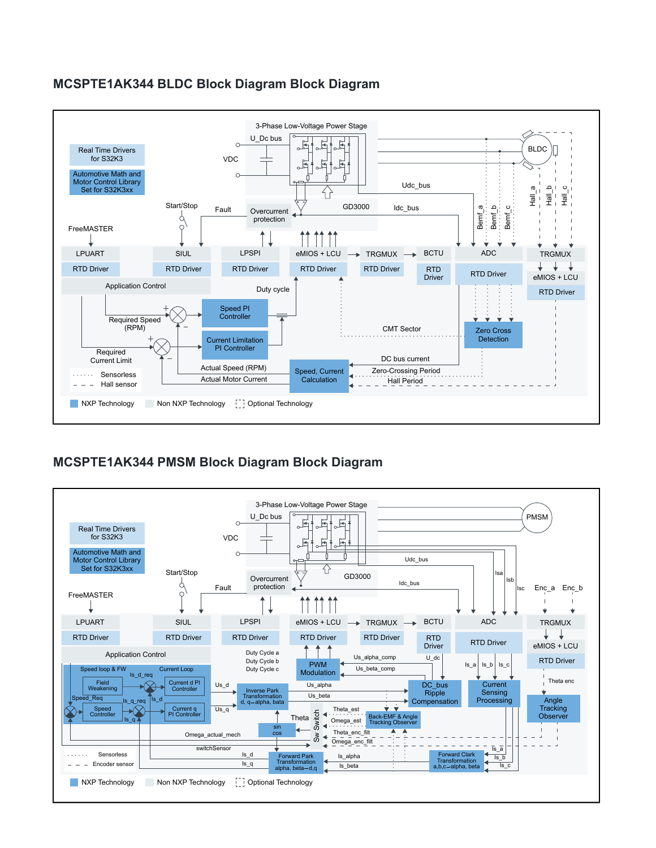## **MCSPTE1AK344 BLDC Block Diagram Block Diagram**



# **MCSPTE1AK344 PMSM Block Diagram Block Diagram**